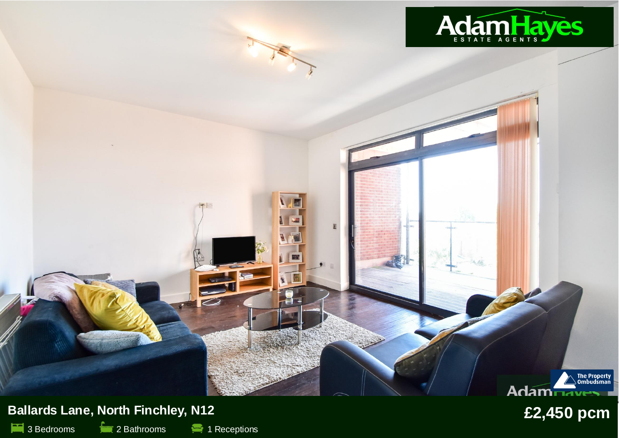

2 Bathrooms **2 1** Receptions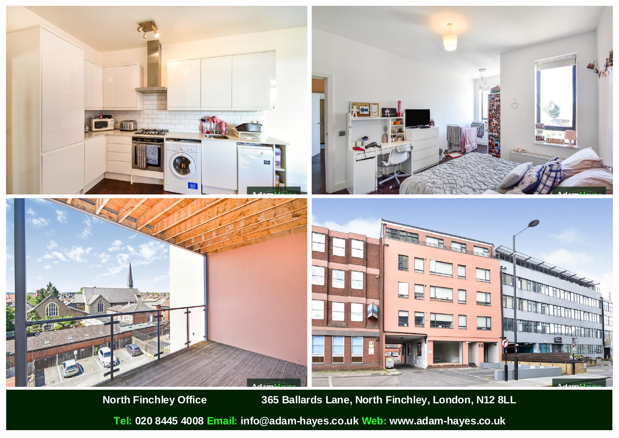

**North Finchley Office 365 Ballards Lane, North Finchley, London, N12 8LL**

**Tel: 020 8445 4008 Email: info@adam-hayes.co.uk Web: www.adam-hayes.co.uk**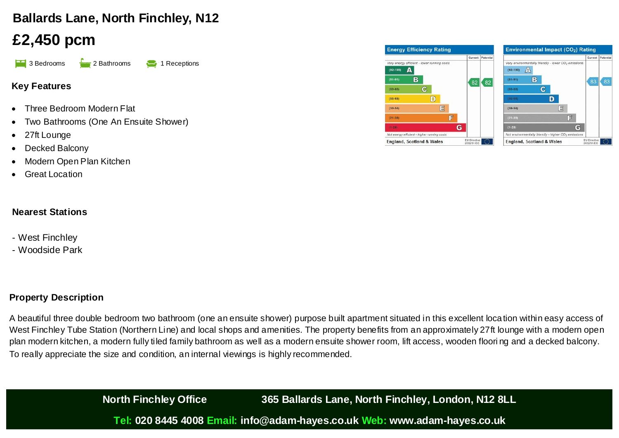# **Ballards Lane, North Finchley, N12**

# **£2,450 pcm**

**1 3 Bedrooms** 2 Bathrooms 1 Receptions

## **Key Features**

- Three Bedroom Modern Flat
- Two Bathrooms (One An Ensuite Shower)
- 27ft Lounge
- Decked Balcony
- Modern Open Plan Kitchen
- **Great Location**

## **Nearest Stations**

- West Finchley
- Woodside Park

## **Property Description**

A beautiful three double bedroom two bathroom (one an ensuite shower) purpose built apartment situated in this excellent loca tion within easy access of West Finchley Tube Station (Northern Line) and local shops and amenities. The property benefits from an approximately 27ft lounge with a modern open plan modern kitchen, a modern fully tiled family bathroom as well as a modern ensuite shower room, lift access, wooden floori ng and a decked balcony. To really appreciate the size and condition, an internal viewings is highly recommended.

> **North Finchley Office 365 Ballards Lane, North Finchley, London, N12 8LL Tel: 020 8445 4008 Email: info@adam-hayes.co.uk Web: www.adam-hayes.co.uk**